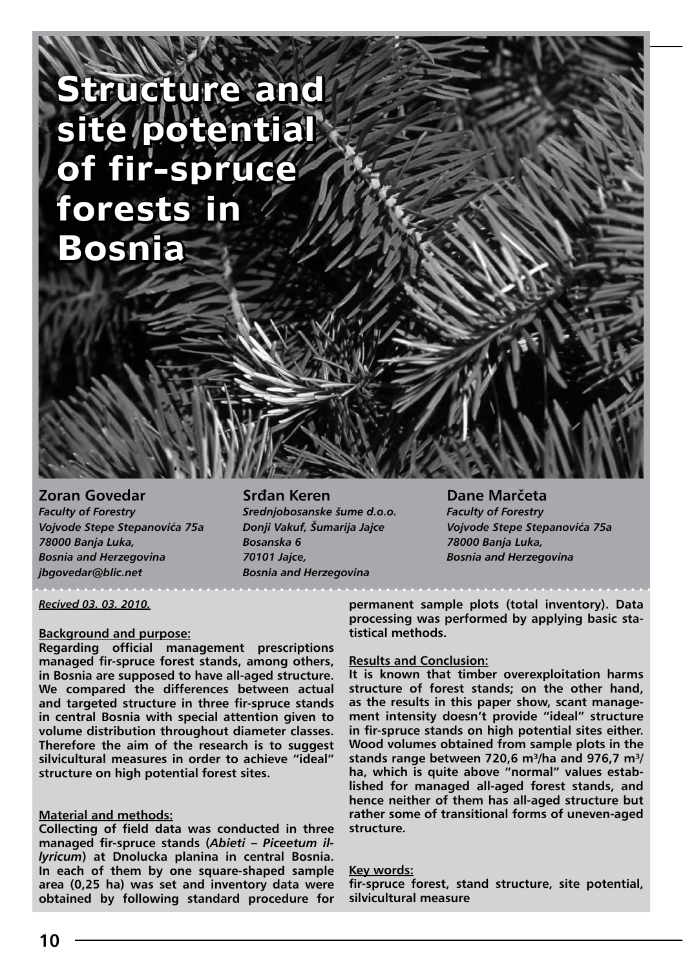# **Structure and Structure and site potential site potential of fir-spruce of fir-spruce forests in forests in Bosnia Bosnia**

**Zoran Govedar** *Faculty of Forestry Vojvode Stepe Stepanovića 75a 78000 Banja Luka, Bosnia and Herzegovina jbgovedar@blic.net*

**Srđan Keren**

*Srednjobosanske šume d.o.o. Donji Vakuf, Šumarija Jajce Bosanska 6 70101 Jajce, Bosnia and Herzegovina*

**Dane Marčeta** *Faculty of Forestry Vojvode Stepe Stepanovića 75a 78000 Banja Luka, Bosnia and Herzegovina*

Zoran Govedar, Srđan Keren, Dane Marčeta Structure and site potential of fir-spruce forests in Bosnia

#### *Recived 03. 03. 2010.*

#### **Background and purpose:**

**Regarding official management prescriptions managed fir-spruce forest stands, among others, in Bosnia are supposed to have all-aged structure. We compared the differences between actual and targeted structure in three fir-spruce stands in central Bosnia with special attention given to volume distribution throughout diameter classes. Therefore the aim of the research is to suggest silvicultural measures in order to achieve "ideal" structure on high potential forest sites.** 

#### **Material and methods:**

**Collecting of field data was conducted in three managed fir-spruce stands (***Abieti – Piceetum illyricum***) at Dnolucka planina in central Bosnia. In each of them by one square-shaped sample area (0,25 ha) was set and inventory data were obtained by following standard procedure for** 

**permanent sample plots (total inventory). Data processing was performed by applying basic statistical methods.**

#### **Results and Conclusion:**

**It is known that timber overexploitation harms structure of forest stands; on the other hand, as the results in this paper show, scant management intensity doesn't provide "ideal" structure in fir-spruce stands on high potential sites either. Wood volumes obtained from sample plots in the stands range between 720,6 m³/ha and 976,7 m³/ ha, which is quite above "normal" values established for managed all-aged forest stands, and hence neither of them has all-aged structure but rather some of transitional forms of uneven-aged structure.** 

#### **Key words:**

**fir-spruce forest, stand structure, site potential, silvicultural measure**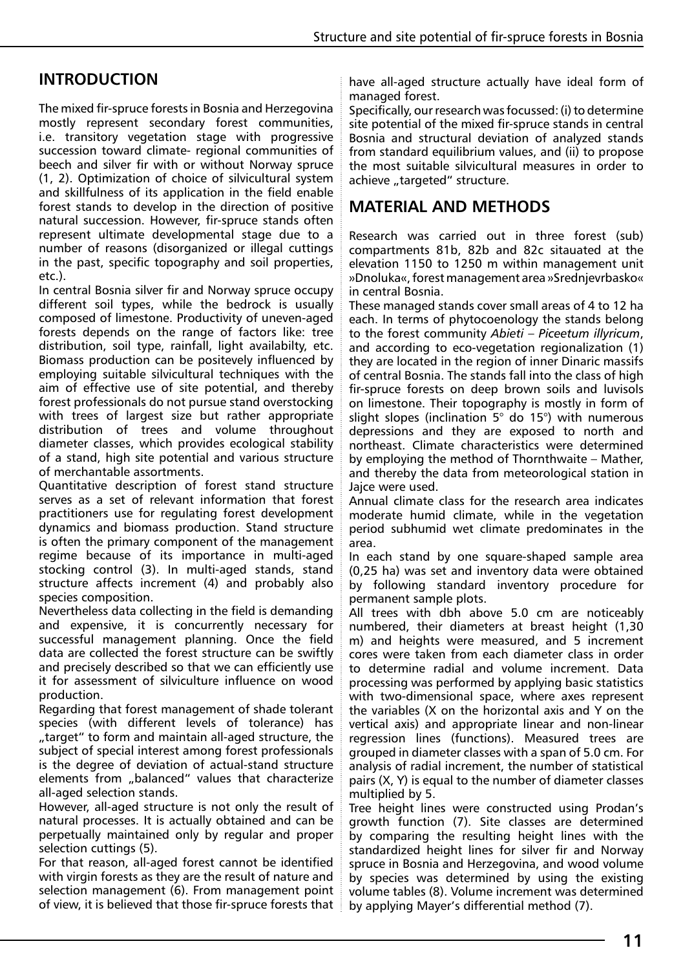# **Introduction**

The mixed fir-spruce forests in Bosnia and Herzegovina mostly represent secondary forest communities, i.e. transitory vegetation stage with progressive succession toward climate- regional communities of beech and silver fir with or without Norway spruce (1, 2). Optimization of choice of silvicultural system and skillfulness of its application in the field enable forest stands to develop in the direction of positive natural succession. However, fir-spruce stands often represent ultimate developmental stage due to a number of reasons (disorganized or illegal cuttings in the past, specific topography and soil properties, etc.).

In central Bosnia silver fir and Norway spruce occupy different soil types, while the bedrock is usually composed of limestone. Productivity of uneven-aged forests depends on the range of factors like: tree distribution, soil type, rainfall, light availabilty, etc. Biomass production can be positevely influenced by employing suitable silvicultural techniques with the aim of effective use of site potential, and thereby forest professionals do not pursue stand overstocking with trees of largest size but rather appropriate distribution of trees and volume throughout diameter classes, which provides ecological stability of a stand, high site potential and various structure of merchantable assortments.

Quantitative description of forest stand structure serves as a set of relevant information that forest practitioners use for regulating forest development dynamics and biomass production. Stand structure is often the primary component of the management regime because of its importance in multi-aged stocking control (3). In multi-aged stands, stand structure affects increment (4) and probably also species composition.

Nevertheless data collecting in the field is demanding and expensive, it is concurrently necessary for successful management planning. Once the field data are collected the forest structure can be swiftly and precisely described so that we can efficiently use it for assessment of silviculture influence on wood production.

Regarding that forest management of shade tolerant species (with different levels of tolerance) has "target" to form and maintain all-aged structure, the subject of special interest among forest professionals is the degree of deviation of actual-stand structure elements from "balanced" values that characterize all-aged selection stands.

However, all-aged structure is not only the result of natural processes. It is actually obtained and can be perpetually maintained only by regular and proper selection cuttings (5).

For that reason, all-aged forest cannot be identified with virgin forests as they are the result of nature and selection management (6). From management point of view, it is believed that those fir-spruce forests that have all-aged structure actually have ideal form of managed forest.

Specifically, our research was focussed: (i) to determine site potential of the mixed fir-spruce stands in central Bosnia and structural deviation of analyzed stands from standard equilibrium values, and (ii) to propose the most suitable silvicultural measures in order to achieve "targeted" structure.

## **Material and methods**

Research was carried out in three forest (sub) compartments 81b, 82b and 82c sitauated at the elevation 1150 to 1250 m within management unit »Dnoluka«, forest management area »Srednjevrbasko« in central Bosnia.

These managed stands cover small areas of 4 to 12 ha each. In terms of phytocoenology the stands belong to the forest community *Abieti – Piceetum illyricum*, and according to eco-vegetation regionalization (1) they are located in the region of inner Dinaric massifs of central Bosnia. The stands fall into the class of high fir-spruce forests on deep brown soils and luvisols on limestone. Their topography is mostly in form of slight slopes (inclination 5° do 15°) with numerous depressions and they are exposed to north and northeast. Climate characteristics were determined by employing the method of Thornthwaite – Mather, and thereby the data from meteorological station in Jajce were used.

Annual climate class for the research area indicates moderate humid climate, while in the vegetation period subhumid wet climate predominates in the area.

In each stand by one square-shaped sample area (0,25 ha) was set and inventory data were obtained by following standard inventory procedure for permanent sample plots.

All trees with dbh above 5.0 cm are noticeably numbered, their diameters at breast height (1,30 m) and heights were measured, and 5 increment cores were taken from each diameter class in order to determine radial and volume increment. Data processing was performed by applying basic statistics with two-dimensional space, where axes represent the variables (X on the horizontal axis and Y on the vertical axis) and appropriate linear and non-linear regression lines (functions). Measured trees are grouped in diameter classes with a span of 5.0 cm. For analysis of radial increment, the number of statistical pairs (X, Y) is equal to the number of diameter classes multiplied by 5.

Tree height lines were constructed using Prodan's growth function (7). Site classes are determined by comparing the resulting height lines with the standardized height lines for silver fir and Norway spruce in Bosnia and Herzegovina, and wood volume by species was determined by using the existing volume tables (8). Volume increment was determined by applying Mayer's differential method (7).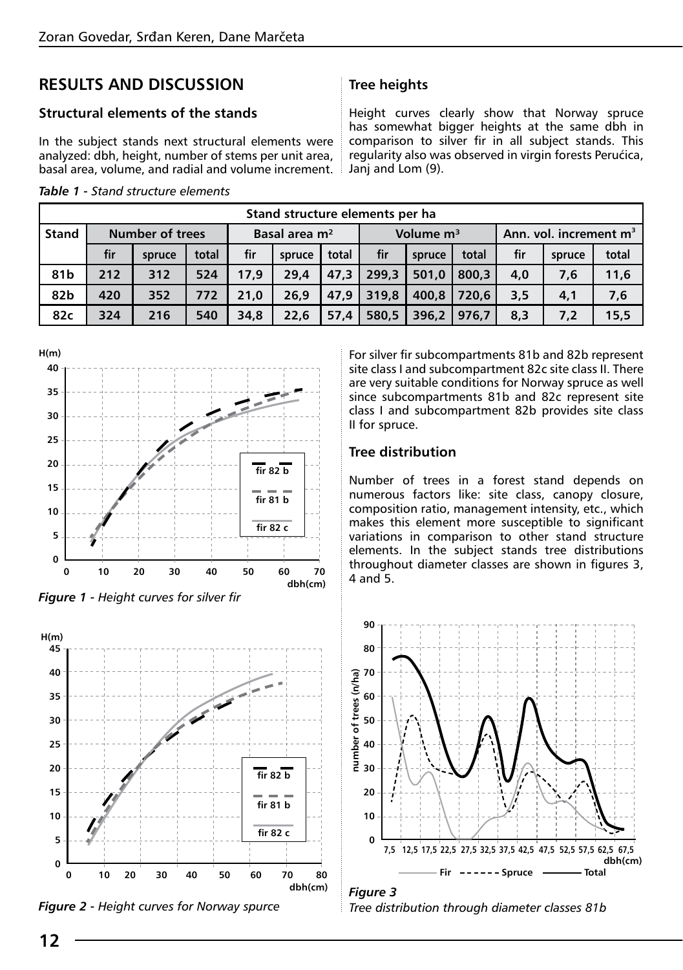# **Results and discussion**

## **Structural elements of the stands**

In the subject stands next structural elements were analyzed: dbh, height, number of stems per unit area, basal area, volume, and radial and volume increment.

|  |  |  |  | Table 1 - Stand structure elements |
|--|--|--|--|------------------------------------|
|--|--|--|--|------------------------------------|

## **Tree heights**

Height curves clearly show that Norway spruce has somewhat bigger heights at the same dbh in comparison to silver fir in all subject stands. This regularity also was observed in virgin forests Perućica, Janj and Lom (9).

| Stand structure elements per ha |                        |        |                           |      |              |       |       |                                    |       |     |        |       |
|---------------------------------|------------------------|--------|---------------------------|------|--------------|-------|-------|------------------------------------|-------|-----|--------|-------|
| <b>Stand</b>                    | <b>Number of trees</b> |        | Basal area m <sup>2</sup> |      | Volume $m^3$ |       |       | Ann. vol. increment m <sup>3</sup> |       |     |        |       |
|                                 | fir                    | spruce | total                     | fir  | spruce       | total | fir   | spruce                             | total | fir | spruce | total |
| 81 <sub>b</sub>                 | 212                    | 312    | 524                       | 17.9 | 29.4         | 47.3  | 299.3 | 501.0                              | 800.3 | 4.0 | 7,6    | 11,6  |
| 82b                             | 420                    | 352    | 772                       | 21.0 | 26.9         | 47,9  | 319.8 | 400.8                              | 720.6 | 3.5 | 4,1    | 7,6   |
| 82c                             | 324                    | 216    | 540                       | 34.8 | 22.6         | 57.4  | 580.5 | 396.2                              | 976.7 | 8.3 | 7,2    | 15,5  |







For silver fir subcompartments 81b and 82b represent site class I and subcompartment 82c site class II. There are very suitable conditions for Norway spruce as well since subcompartments 81b and 82c represent site class I and subcompartment 82b provides site class II for spruce.

## **Tree distribution**

Number of trees in a forest stand depends on numerous factors like: site class, canopy closure, composition ratio, management intensity, etc., which makes this element more susceptible to significant variations in comparison to other stand structure elements. In the subject stands tree distributions throughout diameter classes are shown in figures 3, 4 and 5.



*Figure 3 Figure 2 - Height curves for Norway spurce Tree distribution through diameter classes 81b*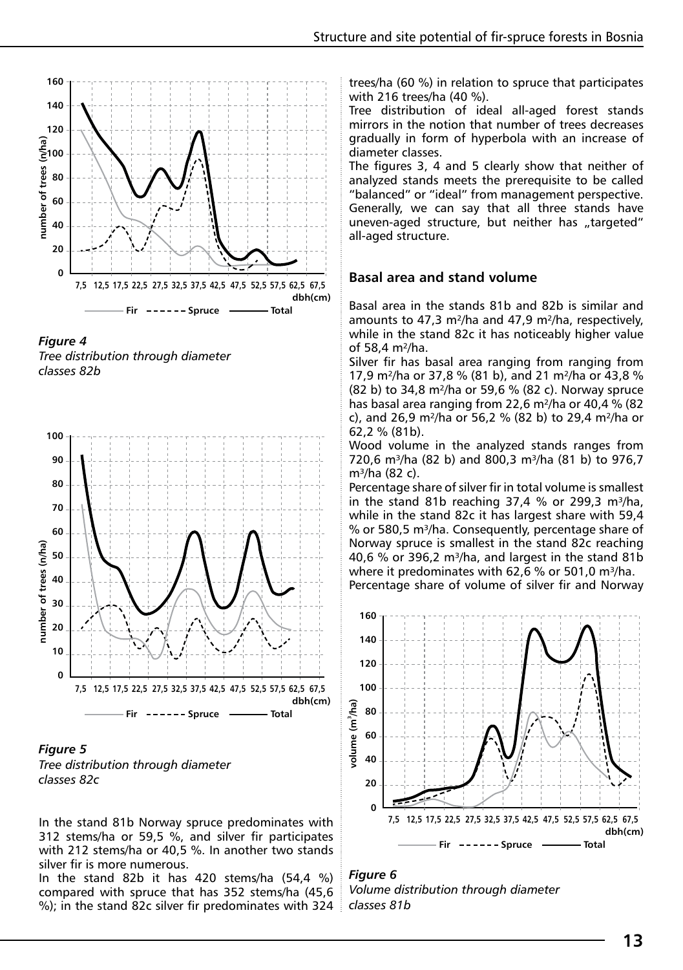

*Figure 4 Tree distribution through diameter classes 82b*





In the stand 81b Norway spruce predominates with 312 stems/ha or 59,5 %, and silver fir participates with 212 stems/ha or 40,5 %. In another two stands silver fir is more numerous.

In the stand 82b it has 420 stems/ha (54,4 %) compared with spruce that has 352 stems/ha (45,6 %); in the stand 82c silver fir predominates with 324 trees/ha (60 %) in relation to spruce that participates with 216 trees/ha (40 %).

Tree distribution of ideal all-aged forest stands mirrors in the notion that number of trees decreases gradually in form of hyperbola with an increase of diameter classes.

The figures 3, 4 and 5 clearly show that neither of analyzed stands meets the prerequisite to be called "balanced" or "ideal" from management perspective. Generally, we can say that all three stands have uneven-aged structure, but neither has "targeted" all-aged structure.

#### **Basal area and stand volume**

Basal area in the stands 81b and 82b is similar and amounts to 47,3 m²/ha and 47,9 m²/ha, respectively, while in the stand 82c it has noticeably higher value of 58,4 m²/ha.

Silver fir has basal area ranging from ranging from 17,9 m²/ha or 37,8 % (81 b), and 21 m²/ha or 43,8 % (82 b) to 34,8 m²/ha or 59,6 % (82 c). Norway spruce has basal area ranging from 22,6 m²/ha or 40,4 % (82 c), and 26,9 m²/ha or 56,2 % (82 b) to 29,4 m²/ha or 62,2 % (81b).

Wood volume in the analyzed stands ranges from 720,6 m<sup>3</sup>/ha (82 b) and 800,3 m<sup>3</sup>/ha (81 b) to 976,7  $m^3/ha$  (82 c).

Percentage share of silver fir in total volume is smallest in the stand 81b reaching 37,4 % or 299,3  $m^3/ha$ , while in the stand 82c it has largest share with 59,4 % or 580,5 m<sup>3</sup>/ha. Consequently, percentage share of Norway spruce is smallest in the stand 82c reaching 40,6 % or 396,2 m<sup>3</sup>/ha, and largest in the stand 81b where it predominates with 62,6 % or 501,0 m<sup>3</sup>/ha.

Percentage share of volume of silver fir and Norway



*Figure 6 Volume distribution through diameter classes 81b*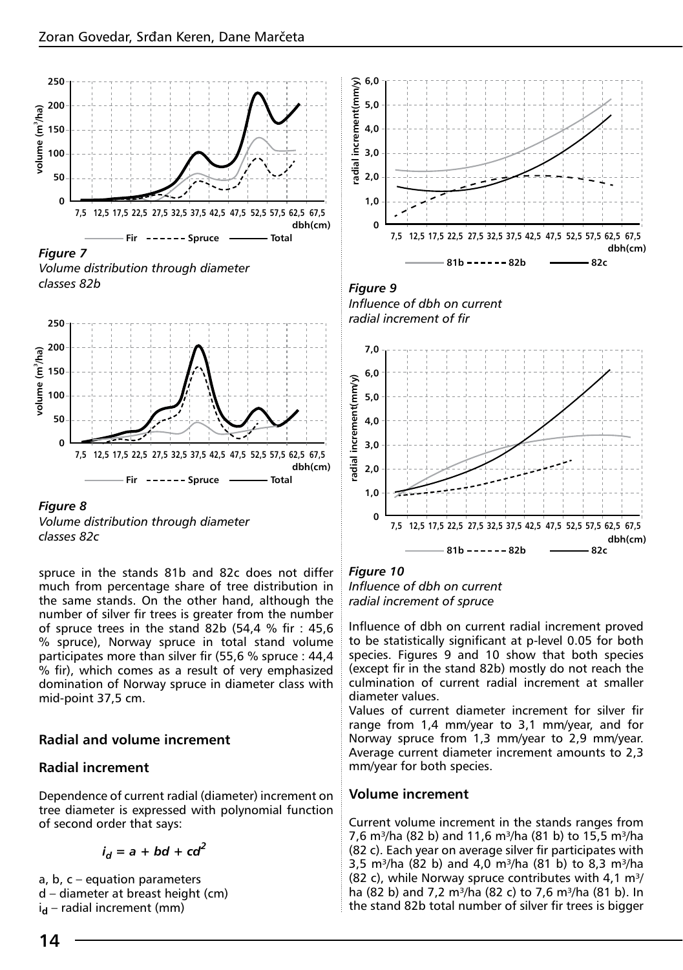

*Figure 7*

*Volume distribution through diameter classes 82b Figure 9*





*classes 82c*

spruce in the stands 81b and 82c does not differ much from percentage share of tree distribution in the same stands. On the other hand, although the number of silver fir trees is greater from the number of spruce trees in the stand 82b (54,4 % fir : 45,6 % spruce), Norway spruce in total stand volume participates more than silver fir (55,6 % spruce : 44,4 % fir), which comes as a result of very emphasized domination of Norway spruce in diameter class with mid-point 37,5 cm.

## **Radial and volume increment**

## **Radial increment**

Dependence of current radial (diameter) increment on tree diameter is expressed with polynomial function of second order that says:

 $i_{d} = a + bd + cd^{2}$ 

- a, b, c equation parameters
- d diameter at breast height (cm)

i**d** – radial increment (mm)



*Influence of dbh on current radial increment of fir*



## *Figure 10*

*Influence of dbh on current radial increment of spruce*

Influence of dbh on current radial increment proved to be statistically significant at p-level 0.05 for both species. Figures 9 and 10 show that both species (except fir in the stand 82b) mostly do not reach the culmination of current radial increment at smaller diameter values.

Values of current diameter increment for silver fir range from 1,4 mm/year to 3,1 mm/year, and for Norway spruce from 1,3 mm/year to 2,9 mm/year. Average current diameter increment amounts to 2,3 mm/year for both species.

#### **Volume increment**

Current volume increment in the stands ranges from 7,6 m<sup>3</sup>/ha (82 b) and 11,6 m<sup>3</sup>/ha (81 b) to 15,5 m<sup>3</sup>/ha (82 c). Each year on average silver fir participates with 3,5 m<sup>3</sup>/ha (82 b) and 4,0 m<sup>3</sup>/ha (81 b) to 8,3 m<sup>3</sup>/ha (82 c), while Norway spruce contributes with 4,1  $m^3$ / ha (82 b) and 7,2 m<sup>3</sup>/ha (82 c) to 7,6 m<sup>3</sup>/ha (81 b). In the stand 82b total number of silver fir trees is bigger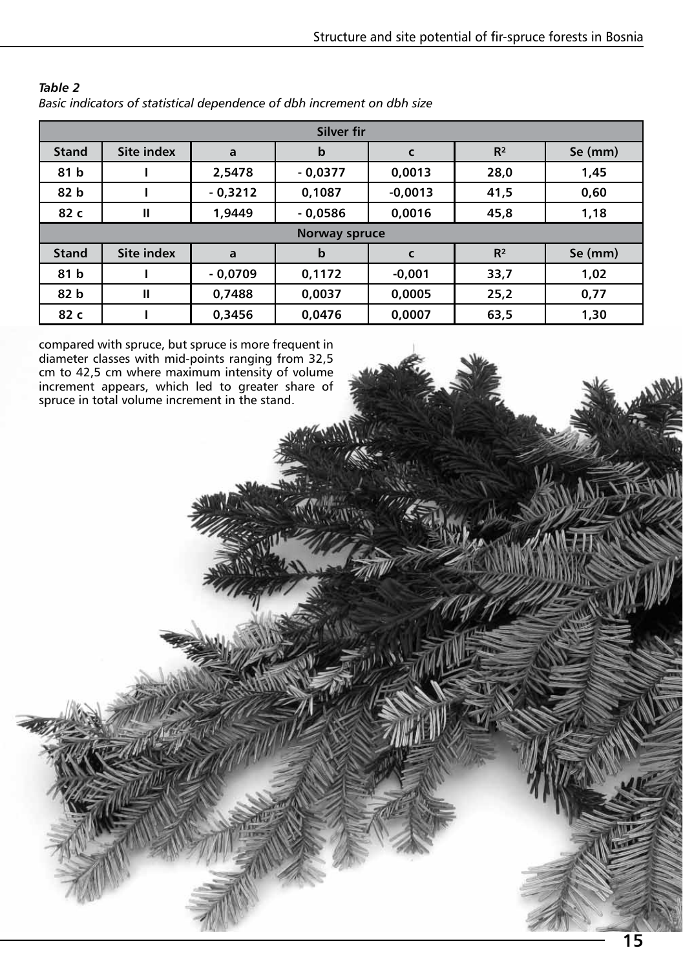| Silver fir    |            |           |             |             |       |         |  |  |
|---------------|------------|-----------|-------------|-------------|-------|---------|--|--|
| <b>Stand</b>  | Site index | a         | $\mathbf b$ | $\mathbf c$ | $R^2$ | Se (mm) |  |  |
| 81 b          |            | 2,5478    | $-0.0377$   | 0,0013      | 28,0  | 1,45    |  |  |
| 82 b          |            | $-0,3212$ | 0.1087      | $-0,0013$   | 41,5  | 0,60    |  |  |
| 82 c          | Ш          | 1,9449    | $-0,0586$   | 0,0016      | 45,8  | 1,18    |  |  |
| Norway spruce |            |           |             |             |       |         |  |  |
| <b>Stand</b>  | Site index | a         | $\mathbf b$ | C           | $R^2$ | Se (mm) |  |  |
| 81 b          |            | $-0,0709$ | 0,1172      | $-0,001$    | 33,7  | 1,02    |  |  |
| 82 b          | ш          | 0,7488    | 0,0037      | 0,0005      | 25,2  | 0,77    |  |  |
| 82 c          |            | 0,3456    | 0,0476      | 0,0007      | 63,5  | 1,30    |  |  |

#### *Table 2 Basic indicators of statistical dependence of dbh increment on dbh size*

compared with spruce, but spruce is more frequent in diameter classes with mid-points ranging from 32,5 cm to 42,5 cm where maximum intensity of volume increment appears, which led to greater share of spruce in total volume increment in the stand.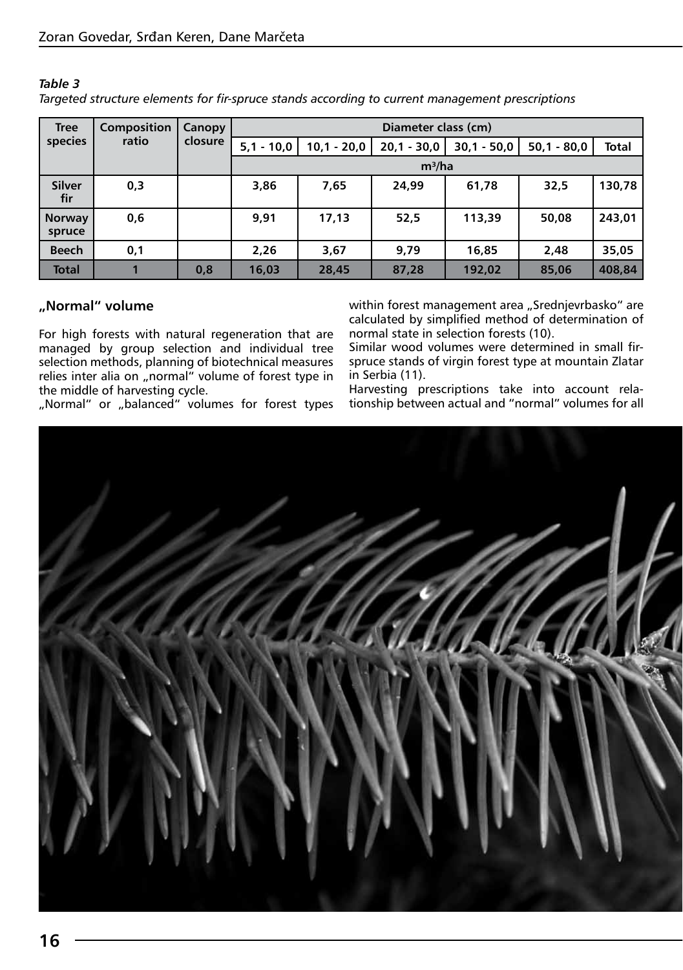| <b>Tree</b>             | <b>Composition</b> | Canopy  | Diameter class (cm) |               |               |               |               |        |  |  |
|-------------------------|--------------------|---------|---------------------|---------------|---------------|---------------|---------------|--------|--|--|
| ratio<br>species        |                    | closure | $5,1 - 10,0$        | $10,1 - 20,0$ | $20,1 - 30,0$ | $30,1 - 50,0$ | $50,1 - 80,0$ | Total  |  |  |
|                         |                    |         | $m^3/ha$            |               |               |               |               |        |  |  |
| <b>Silver</b><br>fir    | 0,3                |         | 3,86                | 7,65          | 24,99         | 61,78         | 32,5          | 130,78 |  |  |
| <b>Norway</b><br>spruce | 0,6                |         | 9,91                | 17,13         | 52,5          | 113,39        | 50,08         | 243,01 |  |  |
| <b>Beech</b>            | 0,1                |         | 2,26                | 3,67          | 9,79          | 16,85         | 2,48          | 35,05  |  |  |
| <b>Total</b>            |                    | 0,8     | 16,03               | 28,45         | 87,28         | 192,02        | 85,06         | 408,84 |  |  |

#### *Table 3*

*Targeted structure elements for fir-spruce stands according to current management prescriptions*

## **"Normal" volume**

For high forests with natural regeneration that are managed by group selection and individual tree selection methods, planning of biotechnical measures relies inter alia on "normal" volume of forest type in the middle of harvesting cycle.

"Normal" or "balanced" volumes for forest types

within forest management area "Srednjevrbasko" are calculated by simplified method of determination of normal state in selection forests (10).

Similar wood volumes were determined in small firspruce stands of virgin forest type at mountain Zlatar in Serbia (11).

Harvesting prescriptions take into account relationship between actual and "normal" volumes for all

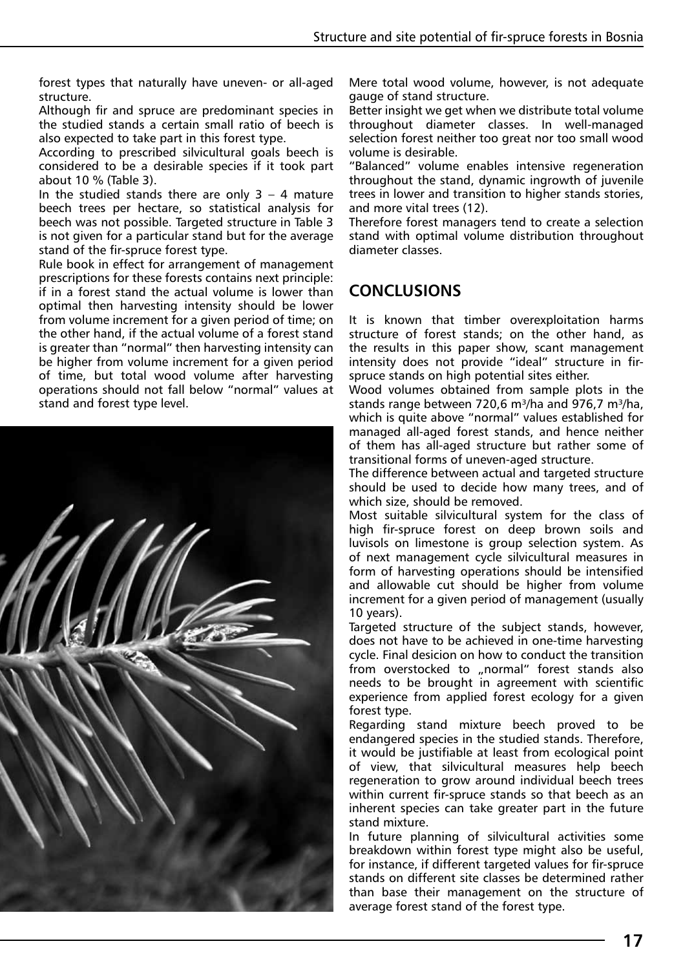forest types that naturally have uneven- or all-aged structure.

Although fir and spruce are predominant species in the studied stands a certain small ratio of beech is also expected to take part in this forest type.

According to prescribed silvicultural goals beech is considered to be a desirable species if it took part about 10 % (Table 3).

In the studied stands there are only  $3 - 4$  mature beech trees per hectare, so statistical analysis for beech was not possible. Targeted structure in Table 3 is not given for a particular stand but for the average stand of the fir-spruce forest type.

Rule book in effect for arrangement of management prescriptions for these forests contains next principle: if in a forest stand the actual volume is lower than optimal then harvesting intensity should be lower from volume increment for a given period of time; on the other hand, if the actual volume of a forest stand is greater than "normal" then harvesting intensity can be higher from volume increment for a given period of time, but total wood volume after harvesting operations should not fall below "normal" values at stand and forest type level.



Mere total wood volume, however, is not adequate gauge of stand structure.

Better insight we get when we distribute total volume throughout diameter classes. In well-managed selection forest neither too great nor too small wood volume is desirable.

"Balanced" volume enables intensive regeneration throughout the stand, dynamic ingrowth of juvenile trees in lower and transition to higher stands stories, and more vital trees (12).

Therefore forest managers tend to create a selection stand with optimal volume distribution throughout diameter classes.

# **Conclusions**

It is known that timber overexploitation harms structure of forest stands; on the other hand, as the results in this paper show, scant management intensity does not provide "ideal" structure in firspruce stands on high potential sites either.

Wood volumes obtained from sample plots in the stands range between 720,6 m<sup>3</sup>/ha and 976,7 m<sup>3</sup>/ha, which is quite above "normal" values established for managed all-aged forest stands, and hence neither of them has all-aged structure but rather some of transitional forms of uneven-aged structure.

The difference between actual and targeted structure should be used to decide how many trees, and of which size, should be removed.

Most suitable silvicultural system for the class of high fir-spruce forest on deep brown soils and luvisols on limestone is group selection system. As of next management cycle silvicultural measures in form of harvesting operations should be intensified and allowable cut should be higher from volume increment for a given period of management (usually 10 years).

Targeted structure of the subject stands, however, does not have to be achieved in one-time harvesting cycle. Final desicion on how to conduct the transition from overstocked to "normal" forest stands also needs to be brought in agreement with scientific experience from applied forest ecology for a given forest type.

Regarding stand mixture beech proved to be endangered species in the studied stands. Therefore, it would be justifiable at least from ecological point of view, that silvicultural measures help beech regeneration to grow around individual beech trees within current fir-spruce stands so that beech as an inherent species can take greater part in the future stand mixture.

In future planning of silvicultural activities some breakdown within forest type might also be useful, for instance, if different targeted values for fir-spruce stands on different site classes be determined rather than base their management on the structure of average forest stand of the forest type.